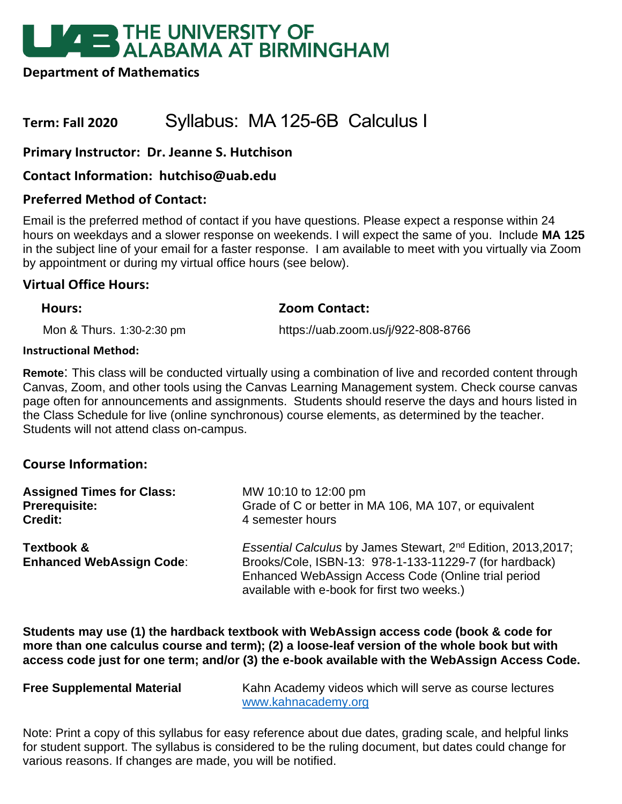# **EXAMPLE THE UNIVERSITY OF<br>ALABAMA AT BIRMINGHAM**

**Department of Mathematics**

# **Term: Fall 2020** Syllabus: MA 125-6B Calculus I

# **Primary Instructor: Dr. Jeanne S. Hutchison**

# **Contact Information: hutchiso@uab.edu**

# **Preferred Method of Contact:**

Email is the preferred method of contact if you have questions. Please expect a response within 24 hours on weekdays and a slower response on weekends. I will expect the same of you. Include **MA 125**  in the subject line of your email for a faster response. I am available to meet with you virtually via Zoom by appointment or during my virtual office hours (see below).

## **Virtual Office Hours:**

#### **Hours: Zoom Contact:**

Mon & Thurs. 1:30-2:30 pm https://uab.zoom.us/j/922-808-8766

#### **Instructional Method:**

**Remote**: This class will be conducted virtually using a combination of live and recorded content through Canvas, Zoom, and other tools using the Canvas Learning Management system. Check course canvas page often for announcements and assignments. Students should reserve the days and hours listed in the Class Schedule for live (online synchronous) course elements, as determined by the teacher. Students will not attend class on-campus.

# **Course Information:**

| <b>Assigned Times for Class:</b>              | MW 10:10 to 12:00 pm                                                                                                                                                                                                                      |  |  |
|-----------------------------------------------|-------------------------------------------------------------------------------------------------------------------------------------------------------------------------------------------------------------------------------------------|--|--|
| <b>Prerequisite:</b>                          | Grade of C or better in MA 106, MA 107, or equivalent                                                                                                                                                                                     |  |  |
| <b>Credit:</b>                                | 4 semester hours                                                                                                                                                                                                                          |  |  |
| Textbook &<br><b>Enhanced WebAssign Code:</b> | Essential Calculus by James Stewart, 2 <sup>nd</sup> Edition, 2013, 2017;<br>Brooks/Cole, ISBN-13: 978-1-133-11229-7 (for hardback)<br>Enhanced WebAssign Access Code (Online trial period<br>available with e-book for first two weeks.) |  |  |

**Students may use (1) the hardback textbook with WebAssign access code (book & code for more than one calculus course and term); (2) a loose-leaf version of the whole book but with access code just for one term; and/or (3) the e-book available with the WebAssign Access Code.** 

**Free Supplemental Material** Kahn Academy videos which will serve as course lectures [www.kahnacademy.org](http://www.kahnacademy.org/)

Note: Print a copy of this syllabus for easy reference about due dates, grading scale, and helpful links for student support. The syllabus is considered to be the ruling document, but dates could change for various reasons. If changes are made, you will be notified.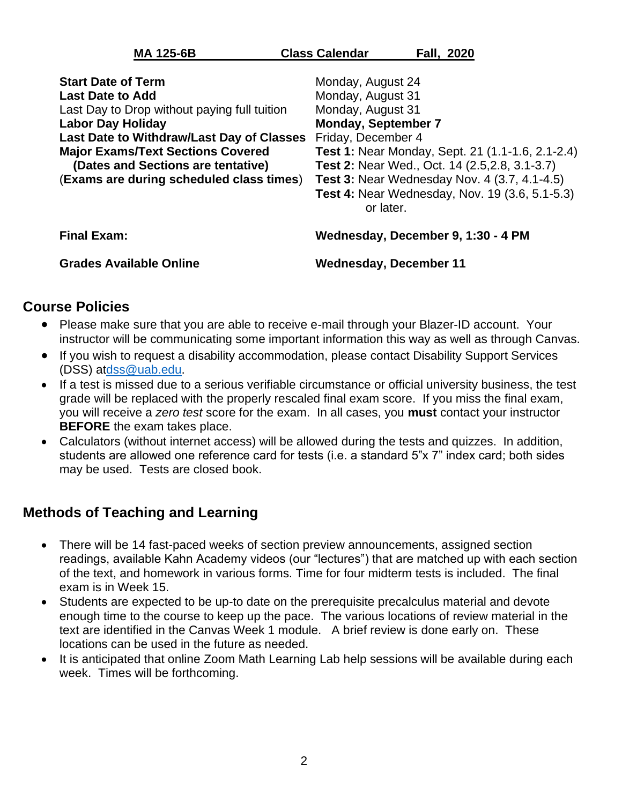| <b>MA 125-6B</b>                             | <b>Class Calendar</b><br><b>Fall, 2020</b>                         |  |  |  |
|----------------------------------------------|--------------------------------------------------------------------|--|--|--|
| <b>Start Date of Term</b>                    | Monday, August 24                                                  |  |  |  |
| <b>Last Date to Add</b>                      | Monday, August 31                                                  |  |  |  |
| Last Day to Drop without paying full tuition | Monday, August 31                                                  |  |  |  |
| <b>Labor Day Holiday</b>                     | <b>Monday, September 7</b>                                         |  |  |  |
| Last Date to Withdraw/Last Day of Classes    | Friday, December 4                                                 |  |  |  |
| <b>Major Exams/Text Sections Covered</b>     | <b>Test 1: Near Monday, Sept. 21 (1.1-1.6, 2.1-2.4)</b>            |  |  |  |
| (Dates and Sections are tentative)           | Test 2: Near Wed., Oct. 14 (2.5, 2.8, 3.1-3.7)                     |  |  |  |
| (Exams are during scheduled class times)     | <b>Test 3: Near Wednesday Nov. 4 (3.7, 4.1-4.5)</b>                |  |  |  |
|                                              | <b>Test 4: Near Wednesday, Nov. 19 (3.6, 5.1-5.3)</b><br>or later. |  |  |  |

**Final Exam: Wednesday, December 9, 1:30 - 4 PM**

**Grades Available Online Wednesday, December 11**

# **Course Policies**

- Please make sure that you are able to receive e-mail through your Blazer-ID account. Your instructor will be communicating some important information this way as well as through Canvas.
- If you wish to request a disability accommodation, please contact Disability Support Services (DSS) a[tdss@uab.edu.](mailto:dss@uab.edu)
- If a test is missed due to a serious verifiable circumstance or official university business, the test grade will be replaced with the properly rescaled final exam score. If you miss the final exam, you will receive a *zero test* score for the exam. In all cases, you **must** contact your instructor **BEFORE** the exam takes place.
- Calculators (without internet access) will be allowed during the tests and quizzes. In addition, students are allowed one reference card for tests (i.e. a standard 5"x 7" index card; both sides may be used. Tests are closed book.

# **Methods of Teaching and Learning**

- There will be 14 fast-paced weeks of section preview announcements, assigned section readings, available Kahn Academy videos (our "lectures") that are matched up with each section of the text, and homework in various forms. Time for four midterm tests is included. The final exam is in Week 15.
- Students are expected to be up-to date on the prerequisite precalculus material and devote enough time to the course to keep up the pace. The various locations of review material in the text are identified in the Canvas Week 1 module. A brief review is done early on. These locations can be used in the future as needed.
- It is anticipated that online Zoom Math Learning Lab help sessions will be available during each week. Times will be forthcoming.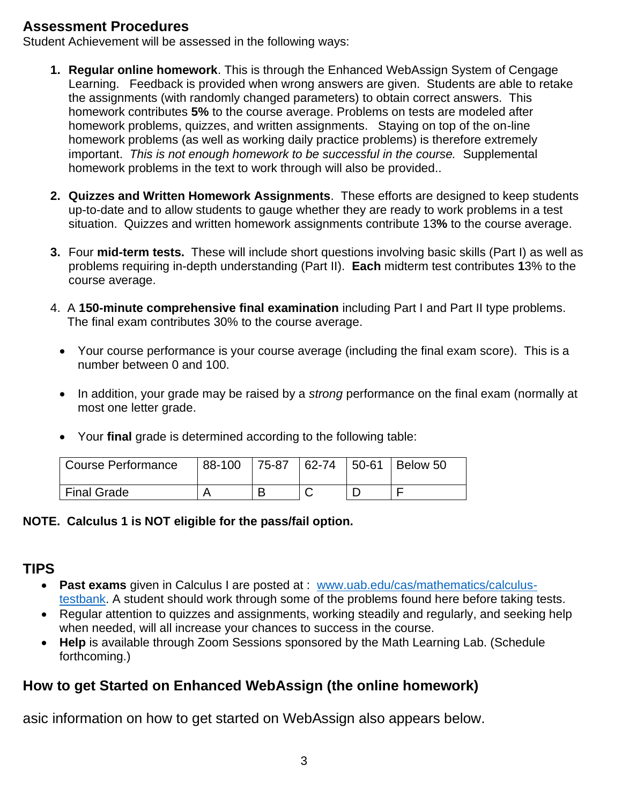# **Assessment Procedures**

Student Achievement will be assessed in the following ways:

- **1. Regular online homework**. This is through the Enhanced WebAssign System of Cengage Learning. Feedback is provided when wrong answers are given. Students are able to retake the assignments (with randomly changed parameters) to obtain correct answers. This homework contributes **5%** to the course average. Problems on tests are modeled after homework problems, quizzes, and written assignments. Staying on top of the on-line homework problems (as well as working daily practice problems) is therefore extremely important. *This is not enough homework to be successful in the course.* Supplemental homework problems in the text to work through will also be provided..
- **2. Quizzes and Written Homework Assignments**. These efforts are designed to keep students up-to-date and to allow students to gauge whether they are ready to work problems in a test situation. Quizzes and written homework assignments contribute 13**%** to the course average.
- **3.** Four **mid-term tests.** These will include short questions involving basic skills (Part I) as well as problems requiring in-depth understanding (Part II). **Each** midterm test contributes **1**3% to the course average.
- 4. A **150-minute comprehensive final examination** including Part I and Part II type problems. The final exam contributes 30% to the course average.
	- Your course performance is your course average (including the final exam score). This is a number between 0 and 100.
	- In addition, your grade may be raised by a *strong* performance on the final exam (normally at most one letter grade.
	- Your **final** grade is determined according to the following table:

| <b>Course Performance</b> | 88-100 |  | 75-87   62-74   50-61   Below 50 |
|---------------------------|--------|--|----------------------------------|
| <b>Final Grade</b>        |        |  |                                  |

# **NOTE. Calculus 1 is NOT eligible for the pass/fail option.**

# **TIPS**

- **Past exams** given in Calculus I are posted at : [www.uab.edu/cas/mathematics/calculus](http://www.uab.edu/cas/mathematics/calculus-testbank)[testbank.](http://www.uab.edu/cas/mathematics/calculus-testbank) A student should work through some of the problems found here before taking tests.
- Regular attention to quizzes and assignments, working steadily and regularly, and seeking help when needed, will all increase your chances to success in the course.
- **Help** is available through Zoom Sessions sponsored by the Math Learning Lab. (Schedule forthcoming.)

# **How to get Started on Enhanced WebAssign (the online homework)**

asic information on how to get started on WebAssign also appears below.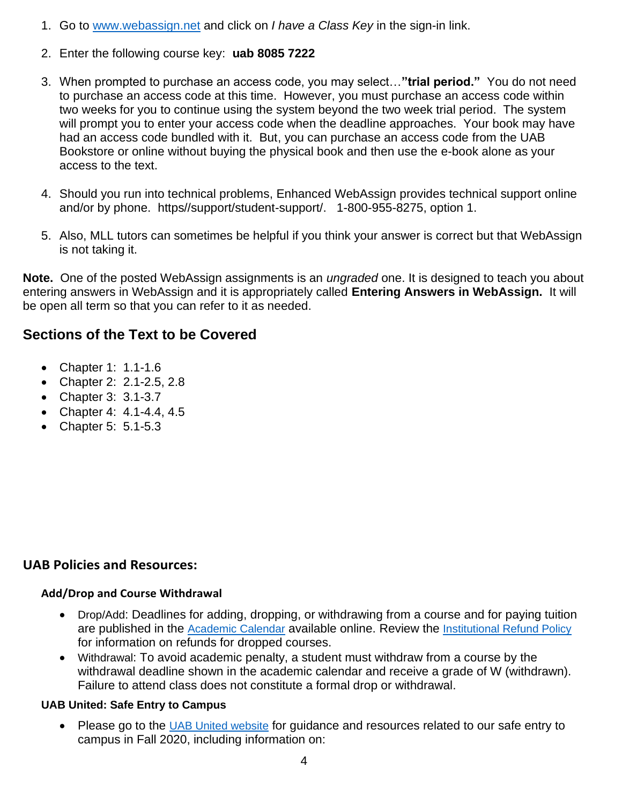- 1. Go to [www.webassign.net](http://www.webassign.net/) and click on *I have a Class Key* in the sign-in link.
- 2. Enter the following course key: **uab 8085 7222**
- 3. When prompted to purchase an access code, you may select…**"trial period."** You do not need to purchase an access code at this time. However, you must purchase an access code within two weeks for you to continue using the system beyond the two week trial period. The system will prompt you to enter your access code when the deadline approaches. Your book may have had an access code bundled with it. But, you can purchase an access code from the UAB Bookstore or online without buying the physical book and then use the e-book alone as your access to the text.
- 4. Should you run into technical problems, Enhanced WebAssign provides technical support online and/or by phone. https//support/student-support/. 1-800-955-8275, option 1.
- 5. Also, MLL tutors can sometimes be helpful if you think your answer is correct but that WebAssign is not taking it.

**Note.** One of the posted WebAssign assignments is an *ungraded* one. It is designed to teach you about entering answers in WebAssign and it is appropriately called **Entering Answers in WebAssign.** It will be open all term so that you can refer to it as needed.

# **Sections of the Text to be Covered**

- Chapter 1: 1.1-1.6
- Chapter 2: 2.1-2.5, 2.8
- Chapter 3: 3.1-3.7
- Chapter 4: 4.1-4.4, 4.5
- Chapter 5: 5.1-5.3

# **UAB Policies and Resources:**

#### **Add/Drop and Course Withdrawal**

- Drop/Add: Deadlines for adding, dropping, or withdrawing from a course and for paying tuition are published in the [Academic Calendar](https://www.uab.edu/students/academics/academic-calendar) available online. Review the [Institutional Refund Policy](https://www.uab.edu/students/one-stop/policies/institutional-refund-policy) for information on refunds for dropped courses.
- Withdrawal: To avoid academic penalty, a student must withdraw from a course by the withdrawal deadline shown in the academic calendar and receive a grade of W (withdrawn). Failure to attend class does not constitute a formal drop or withdrawal.

#### **UAB United: Safe Entry to Campus**

• Please go to the [UAB United website](https://www.uab.edu/uabunited/students) for guidance and resources related to our safe entry to campus in Fall 2020, including information on: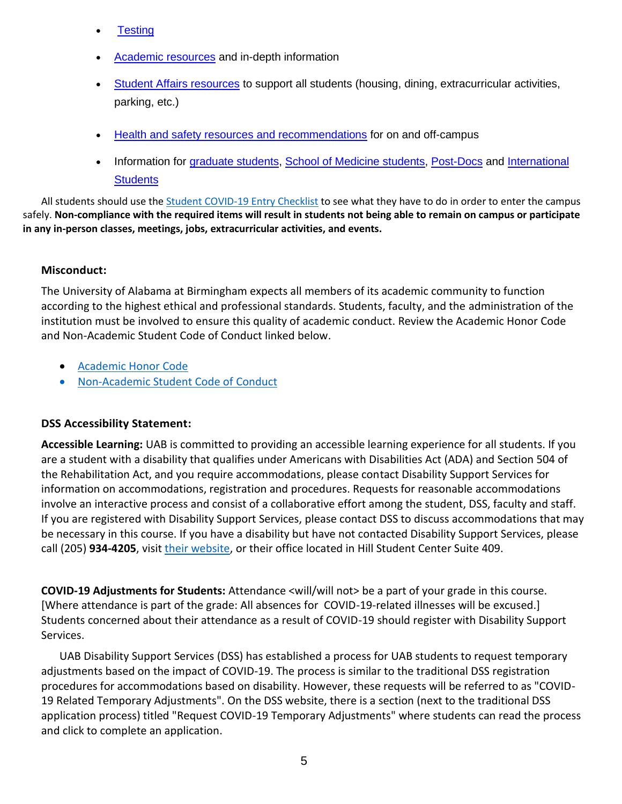- **[Testing](https://www.uab.edu/uabunited/students/testing)**
- [Academic resources](https://www.uab.edu/uabunited/students/academics) and in-depth information
- [Student Affairs resources](https://www.uab.edu/uabunited/students/student-affairs) to support all students (housing, dining, extracurricular activities, parking, etc.)
- [Health and safety resources and recommendations](https://www.uab.edu/uabunited/students/health-safety) for on and off-campus
- Information for [graduate students,](https://www.uab.edu/graduate/about/graduate-school-covid-19-updates) [School of Medicine students,](https://www.uab.edu/medicine/home/covid-19-updates) [Post-Docs](https://www.uab.edu/postdocs/covid-19) and International **[Students](https://www.uab.edu/global/about/programs-services/isss/faqs-concerning-recent-sevp-guidance-and-covid-19-planning)**

All students should use th[e Student COVID-19 Entry Checklist](https://www.uab.edu/uabunited/entry-checklists#student-checklist) to see what they have to do in order to enter the campus safely. **Non-compliance with the required items will result in students not being able to remain on campus or participate in any in-person classes, meetings, jobs, extracurricular activities, and events.**

## **Misconduct:**

The University of Alabama at Birmingham expects all members of its academic community to function according to the highest ethical and professional standards. Students, faculty, and the administration of the institution must be involved to ensure this quality of academic conduct. Review the Academic Honor Code and Non-Academic Student Code of Conduct linked below.

- [Academic Honor Code](http://www.uab.edu/students/one-stop/policies/academic-honor-code)
- [Non-Academic Student Code of Conduct](http://www.uab.edu/studentconduct)

#### **DSS Accessibility Statement:**

**Accessible Learning:** UAB is committed to providing an accessible learning experience for all students. If you are a student with a disability that qualifies under Americans with Disabilities Act (ADA) and Section 504 of the Rehabilitation Act, and you require accommodations, please contact Disability Support Services for information on accommodations, registration and procedures. Requests for reasonable accommodations involve an interactive process and consist of a collaborative effort among the student, DSS, faculty and staff. If you are registered with Disability Support Services, please contact DSS to discuss accommodations that may be necessary in this course. If you have a disability but have not contacted Disability Support Services, please call (205) **934-4205**, visit [their website,](http://www.uab.edu/dss) or their office located in Hill Student Center Suite 409.

**COVID-19 Adjustments for Students:** Attendance <will/will not> be a part of your grade in this course. [Where attendance is part of the grade: All absences for COVID-19-related illnesses will be excused.] Students concerned about their attendance as a result of COVID-19 should register with Disability Support Services.

UAB Disability Support Services (DSS) has established a process for UAB students to request temporary adjustments based on the impact of COVID-19. The process is similar to the traditional DSS registration procedures for accommodations based on disability. However, these requests will be referred to as "COVID-19 Related Temporary Adjustments". On the DSS website, there is a section (next to the traditional DSS application process) titled "Request COVID-19 Temporary Adjustments" where students can read the process and click to complete an application.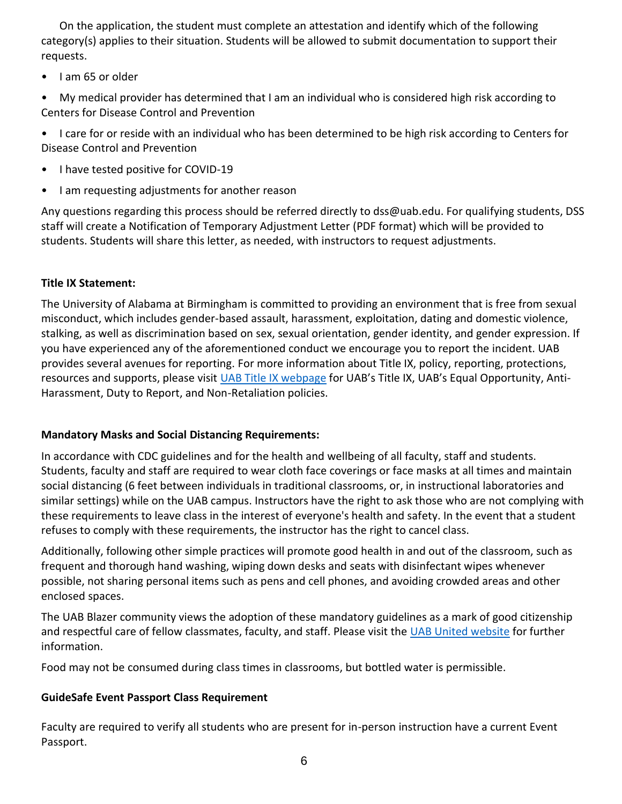On the application, the student must complete an attestation and identify which of the following category(s) applies to their situation. Students will be allowed to submit documentation to support their requests.

• I am 65 or older

• My medical provider has determined that I am an individual who is considered high risk according to Centers for Disease Control and Prevention

• I care for or reside with an individual who has been determined to be high risk according to Centers for Disease Control and Prevention

- I have tested positive for COVID-19
- I am requesting adjustments for another reason

Any questions regarding this process should be referred directly to dss@uab.edu. For qualifying students, DSS staff will create a Notification of Temporary Adjustment Letter (PDF format) which will be provided to students. Students will share this letter, as needed, with instructors to request adjustments.

#### **Title IX Statement:**

The University of Alabama at Birmingham is committed to providing an environment that is free from sexual misconduct, which includes gender-based assault, harassment, exploitation, dating and domestic violence, stalking, as well as discrimination based on sex, sexual orientation, gender identity, and gender expression. If you have experienced any of the aforementioned conduct we encourage you to report the incident. UAB provides several avenues for reporting. For more information about Title IX, policy, reporting, protections, resources and supports, please visi[t UAB Title IX webpage](http://www.uab.edu/titleix) for UAB's Title IX, UAB's Equal Opportunity, Anti-Harassment, Duty to Report, and Non-Retaliation policies.

#### **Mandatory Masks and Social Distancing Requirements:**

In accordance with CDC guidelines and for the health and wellbeing of all faculty, staff and students. Students, faculty and staff are required to wear cloth face coverings or face masks at all times and maintain social distancing (6 feet between individuals in traditional classrooms, or, in instructional laboratories and similar settings) while on the UAB campus. Instructors have the right to ask those who are not complying with these requirements to leave class in the interest of everyone's health and safety. In the event that a student refuses to comply with these requirements, the instructor has the right to cancel class.

Additionally, following other simple practices will promote good health in and out of the classroom, such as frequent and thorough hand washing, wiping down desks and seats with disinfectant wipes whenever possible, not sharing personal items such as pens and cell phones, and avoiding crowded areas and other enclosed spaces.

The UAB Blazer community views the adoption of these mandatory guidelines as a mark of good citizenship and respectful care of fellow classmates, faculty, and staff. Please visit the [UAB United website](https://www.uab.edu/uabunited/students) for further information.

Food may not be consumed during class times in classrooms, but bottled water is permissible.

# **GuideSafe Event Passport Class Requirement**

Faculty are required to verify all students who are present for in-person instruction have a current Event Passport.